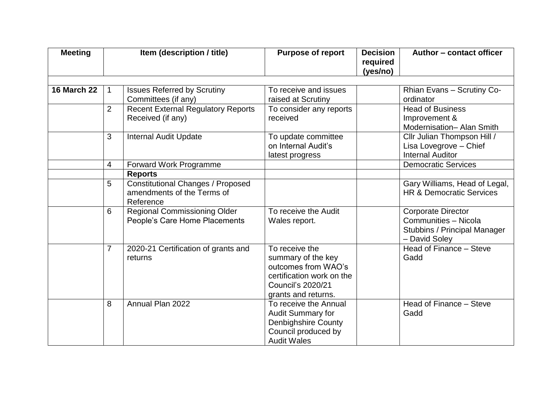| <b>Meeting</b>     |                | Item (description / title)                                                          | <b>Purpose of report</b>                                                                                                             | <b>Decision</b><br>required<br>(yes/no) | Author - contact officer                                                                                  |
|--------------------|----------------|-------------------------------------------------------------------------------------|--------------------------------------------------------------------------------------------------------------------------------------|-----------------------------------------|-----------------------------------------------------------------------------------------------------------|
| <b>16 March 22</b> |                | <b>Issues Referred by Scrutiny</b><br>Committees (if any)                           | To receive and issues<br>raised at Scrutiny                                                                                          |                                         | Rhian Evans - Scrutiny Co-<br>ordinator                                                                   |
|                    | $\overline{2}$ | <b>Recent External Regulatory Reports</b><br>Received (if any)                      | To consider any reports<br>received                                                                                                  |                                         | <b>Head of Business</b><br>Improvement &<br>Modernisation- Alan Smith                                     |
|                    | 3              | <b>Internal Audit Update</b>                                                        | To update committee<br>on Internal Audit's<br>latest progress                                                                        |                                         | Cllr Julian Thompson Hill /<br>Lisa Lovegrove - Chief<br><b>Internal Auditor</b>                          |
|                    | 4              | Forward Work Programme                                                              |                                                                                                                                      |                                         | <b>Democratic Services</b>                                                                                |
|                    |                | <b>Reports</b>                                                                      |                                                                                                                                      |                                         |                                                                                                           |
|                    | 5              | <b>Constitutional Changes / Proposed</b><br>amendments of the Terms of<br>Reference |                                                                                                                                      |                                         | Gary Williams, Head of Legal,<br><b>HR &amp; Democratic Services</b>                                      |
|                    | 6              | <b>Regional Commissioning Older</b><br>People's Care Home Placements                | To receive the Audit<br>Wales report.                                                                                                |                                         | <b>Corporate Director</b><br>Communities - Nicola<br><b>Stubbins / Principal Manager</b><br>- David Soley |
|                    | $\overline{7}$ | 2020-21 Certification of grants and<br>returns                                      | To receive the<br>summary of the key<br>outcomes from WAO's<br>certification work on the<br>Council's 2020/21<br>grants and returns. |                                         | Head of Finance - Steve<br>Gadd                                                                           |
|                    | 8              | Annual Plan 2022                                                                    | To receive the Annual<br><b>Audit Summary for</b><br><b>Denbighshire County</b><br>Council produced by<br><b>Audit Wales</b>         |                                         | Head of Finance - Steve<br>Gadd                                                                           |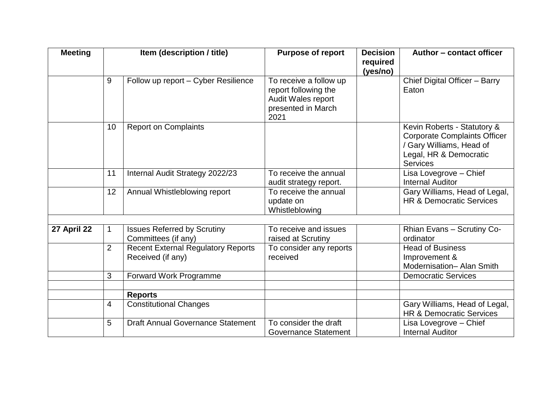| <b>Meeting</b> | Item (description / title) |                                                                | <b>Purpose of report</b>                                                                           | <b>Decision</b><br>required | Author - contact officer                                                                                                                    |
|----------------|----------------------------|----------------------------------------------------------------|----------------------------------------------------------------------------------------------------|-----------------------------|---------------------------------------------------------------------------------------------------------------------------------------------|
|                |                            |                                                                |                                                                                                    | (yes/no)                    |                                                                                                                                             |
|                | 9                          | Follow up report - Cyber Resilience                            | To receive a follow up<br>report following the<br>Audit Wales report<br>presented in March<br>2021 |                             | Chief Digital Officer - Barry<br>Eaton                                                                                                      |
|                | 10                         | <b>Report on Complaints</b>                                    |                                                                                                    |                             | Kevin Roberts - Statutory &<br><b>Corporate Complaints Officer</b><br>/ Gary Williams, Head of<br>Legal, HR & Democratic<br><b>Services</b> |
|                | 11                         | Internal Audit Strategy 2022/23                                | To receive the annual<br>audit strategy report.                                                    |                             | Lisa Lovegrove - Chief<br><b>Internal Auditor</b>                                                                                           |
|                | 12                         | Annual Whistleblowing report                                   | To receive the annual<br>update on<br>Whistleblowing                                               |                             | Gary Williams, Head of Legal,<br><b>HR &amp; Democratic Services</b>                                                                        |
|                |                            |                                                                |                                                                                                    |                             |                                                                                                                                             |
| 27 April 22    |                            | <b>Issues Referred by Scrutiny</b><br>Committees (if any)      | To receive and issues<br>raised at Scrutiny                                                        |                             | Rhian Evans - Scrutiny Co-<br>ordinator                                                                                                     |
|                | $\overline{2}$             | <b>Recent External Regulatory Reports</b><br>Received (if any) | To consider any reports<br>received                                                                |                             | <b>Head of Business</b><br>Improvement &<br>Modernisation- Alan Smith                                                                       |
|                | 3                          | <b>Forward Work Programme</b>                                  |                                                                                                    |                             | <b>Democratic Services</b>                                                                                                                  |
|                |                            |                                                                |                                                                                                    |                             |                                                                                                                                             |
|                |                            | <b>Reports</b>                                                 |                                                                                                    |                             |                                                                                                                                             |
|                | 4                          | <b>Constitutional Changes</b>                                  |                                                                                                    |                             | Gary Williams, Head of Legal,<br><b>HR &amp; Democratic Services</b>                                                                        |
|                | 5                          | <b>Draft Annual Governance Statement</b>                       | To consider the draft<br><b>Governance Statement</b>                                               |                             | Lisa Lovegrove – Chief<br><b>Internal Auditor</b>                                                                                           |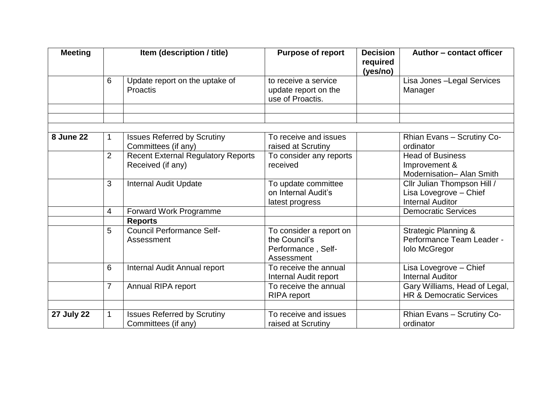| <b>Meeting</b>    | Item (description / title) |                                                                | <b>Purpose of report</b>                                                     | <b>Decision</b><br>required<br>(yes/no) | Author - contact officer                                                             |
|-------------------|----------------------------|----------------------------------------------------------------|------------------------------------------------------------------------------|-----------------------------------------|--------------------------------------------------------------------------------------|
|                   | 6                          | Update report on the uptake of<br>Proactis                     | to receive a service<br>update report on the<br>use of Proactis.             |                                         | Lisa Jones - Legal Services<br>Manager                                               |
|                   |                            |                                                                |                                                                              |                                         |                                                                                      |
|                   |                            |                                                                |                                                                              |                                         |                                                                                      |
| <b>8 June 22</b>  |                            | <b>Issues Referred by Scrutiny</b><br>Committees (if any)      | To receive and issues<br>raised at Scrutiny                                  |                                         | Rhian Evans - Scrutiny Co-<br>ordinator                                              |
|                   | $\overline{2}$             | <b>Recent External Regulatory Reports</b><br>Received (if any) | To consider any reports<br>received                                          |                                         | <b>Head of Business</b><br>Improvement &<br>Modernisation- Alan Smith                |
|                   | 3                          | <b>Internal Audit Update</b>                                   | To update committee<br>on Internal Audit's<br>latest progress                |                                         | Cllr Julian Thompson Hill /<br>Lisa Lovegrove - Chief<br><b>Internal Auditor</b>     |
|                   | 4                          | Forward Work Programme                                         |                                                                              |                                         | <b>Democratic Services</b>                                                           |
|                   |                            | <b>Reports</b>                                                 |                                                                              |                                         |                                                                                      |
|                   | 5                          | <b>Council Performance Self-</b><br>Assessment                 | To consider a report on<br>the Council's<br>Performance, Self-<br>Assessment |                                         | <b>Strategic Planning &amp;</b><br>Performance Team Leader -<br><b>Iolo McGregor</b> |
|                   | 6                          | Internal Audit Annual report                                   | To receive the annual<br>Internal Audit report                               |                                         | Lisa Lovegrove - Chief<br><b>Internal Auditor</b>                                    |
|                   | $\overline{7}$             | Annual RIPA report                                             | To receive the annual<br><b>RIPA</b> report                                  |                                         | Gary Williams, Head of Legal,<br><b>HR &amp; Democratic Services</b>                 |
|                   |                            |                                                                |                                                                              |                                         |                                                                                      |
| <b>27 July 22</b> |                            | <b>Issues Referred by Scrutiny</b><br>Committees (if any)      | To receive and issues<br>raised at Scrutiny                                  |                                         | Rhian Evans - Scrutiny Co-<br>ordinator                                              |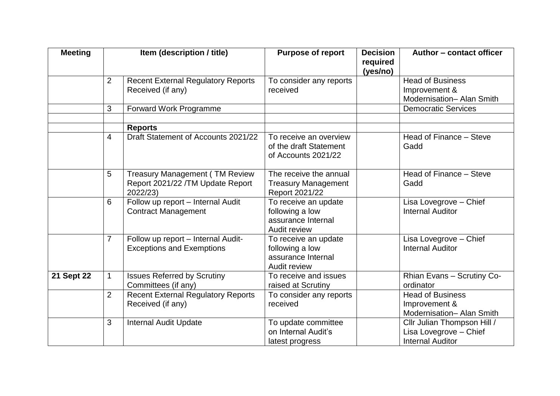| <b>Meeting</b>    | Item (description / title) |                                                                        | <b>Purpose of report</b>                                                      | <b>Decision</b><br>required | Author - contact officer                                                         |
|-------------------|----------------------------|------------------------------------------------------------------------|-------------------------------------------------------------------------------|-----------------------------|----------------------------------------------------------------------------------|
|                   |                            |                                                                        |                                                                               | (yes/no)                    |                                                                                  |
|                   | $\overline{2}$             | <b>Recent External Regulatory Reports</b>                              | To consider any reports                                                       |                             | <b>Head of Business</b>                                                          |
|                   |                            | Received (if any)                                                      | received                                                                      |                             | Improvement &                                                                    |
|                   |                            |                                                                        |                                                                               |                             | Modernisation- Alan Smith                                                        |
|                   | 3                          | <b>Forward Work Programme</b>                                          |                                                                               |                             | <b>Democratic Services</b>                                                       |
|                   |                            |                                                                        |                                                                               |                             |                                                                                  |
|                   |                            | <b>Reports</b>                                                         |                                                                               |                             |                                                                                  |
|                   | $\overline{4}$             | Draft Statement of Accounts 2021/22                                    | To receive an overview<br>of the draft Statement<br>of Accounts 2021/22       |                             | Head of Finance - Steve<br>Gadd                                                  |
|                   |                            |                                                                        |                                                                               |                             |                                                                                  |
|                   | 5                          | <b>Treasury Management (TM Review</b>                                  | The receive the annual                                                        |                             | Head of Finance - Steve                                                          |
|                   |                            | Report 2021/22 / TM Update Report<br>2022/23)                          | <b>Treasury Management</b><br>Report 2021/22                                  |                             | Gadd                                                                             |
|                   | 6                          | Follow up report - Internal Audit<br><b>Contract Management</b>        | To receive an update<br>following a low<br>assurance Internal<br>Audit review |                             | Lisa Lovegrove - Chief<br><b>Internal Auditor</b>                                |
|                   | $\overline{7}$             | Follow up report - Internal Audit-<br><b>Exceptions and Exemptions</b> | To receive an update<br>following a low<br>assurance Internal<br>Audit review |                             | Lisa Lovegrove - Chief<br><b>Internal Auditor</b>                                |
| <b>21 Sept 22</b> | 1                          | <b>Issues Referred by Scrutiny</b><br>Committees (if any)              | To receive and issues<br>raised at Scrutiny                                   |                             | Rhian Evans - Scrutiny Co-<br>ordinator                                          |
|                   | $\overline{2}$             | <b>Recent External Regulatory Reports</b><br>Received (if any)         | To consider any reports<br>received                                           |                             | <b>Head of Business</b><br>Improvement &<br>Modernisation- Alan Smith            |
|                   | 3                          | <b>Internal Audit Update</b>                                           | To update committee<br>on Internal Audit's<br>latest progress                 |                             | Cllr Julian Thompson Hill /<br>Lisa Lovegrove - Chief<br><b>Internal Auditor</b> |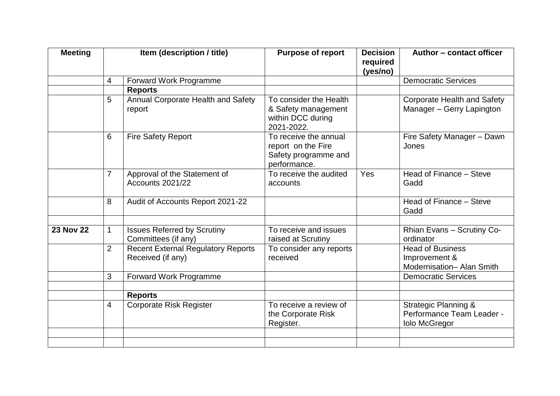| <b>Meeting</b>   |                | Item (description / title)                                     | <b>Purpose of report</b>                                                            | <b>Decision</b><br>required<br>(yes/no) | Author - contact officer                                                             |
|------------------|----------------|----------------------------------------------------------------|-------------------------------------------------------------------------------------|-----------------------------------------|--------------------------------------------------------------------------------------|
|                  | $\overline{4}$ | Forward Work Programme                                         |                                                                                     |                                         | <b>Democratic Services</b>                                                           |
|                  |                | <b>Reports</b>                                                 |                                                                                     |                                         |                                                                                      |
|                  | 5              | Annual Corporate Health and Safety<br>report                   | To consider the Health<br>& Safety management<br>within DCC during<br>2021-2022.    |                                         | <b>Corporate Health and Safety</b><br>Manager - Gerry Lapington                      |
|                  | 6              | <b>Fire Safety Report</b>                                      | To receive the annual<br>report on the Fire<br>Safety programme and<br>performance. |                                         | Fire Safety Manager - Dawn<br>Jones                                                  |
|                  | $\overline{7}$ | Approval of the Statement of<br>Accounts 2021/22               | To receive the audited<br>accounts                                                  | <b>Yes</b>                              | Head of Finance - Steve<br>Gadd                                                      |
|                  | 8              | Audit of Accounts Report 2021-22                               |                                                                                     |                                         | Head of Finance - Steve<br>Gadd                                                      |
| <b>23 Nov 22</b> | 1              | <b>Issues Referred by Scrutiny</b><br>Committees (if any)      | To receive and issues<br>raised at Scrutiny                                         |                                         | Rhian Evans - Scrutiny Co-<br>ordinator                                              |
|                  | $\overline{2}$ | <b>Recent External Regulatory Reports</b><br>Received (if any) | To consider any reports<br>received                                                 |                                         | <b>Head of Business</b><br>Improvement &<br>Modernisation- Alan Smith                |
|                  | 3              | Forward Work Programme                                         |                                                                                     |                                         | <b>Democratic Services</b>                                                           |
|                  |                |                                                                |                                                                                     |                                         |                                                                                      |
|                  |                | <b>Reports</b>                                                 |                                                                                     |                                         |                                                                                      |
|                  | 4              | <b>Corporate Risk Register</b>                                 | To receive a review of<br>the Corporate Risk<br>Register.                           |                                         | <b>Strategic Planning &amp;</b><br>Performance Team Leader -<br><b>Iolo McGregor</b> |
|                  |                |                                                                |                                                                                     |                                         |                                                                                      |
|                  |                |                                                                |                                                                                     |                                         |                                                                                      |